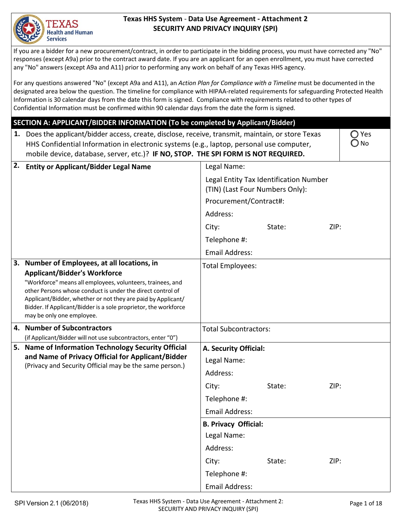

#### **Texas HHS System** - **Data Use Agreement ‐ Attachment 2 SECURITY AND PRIVACY INQUIRY (SPI)**

 If you are a bidder for a new procurement/contract, in order to participate in the bidding process, you must have corrected any "No" responses (except A9a) prior to the contract award date. If you are an applicant for an open enrollment, you must have corrected any "No" answers (except A9a and A11) prior to performing any work on behalf of any Texas HHS agency.

For any questions answered "No" (except A9a and A11), an Action Plan for Compliance with a Timeline must be documented in the designated area below the question. The timeline for compliance with HIPAA-related requirements for safeguarding Protected Health Information is 30 calendar days from the date this form is signed. Compliance with requirements related to other types of<br>Confidential Information must be confirmed within 90 calendar days from the date the form is signed.

#### **SECTION A: APPLICANT/BIDDER INFORMATION (To be completed by Applicant/Bidder)**

| SECTION A: APPLICANT/BIDDER INFORMATION (To be completed by Applicant/Bidder) |                                                                                                                                                                                                                                                                                                                                                                                 |                                 |                                        |      |                        |
|-------------------------------------------------------------------------------|---------------------------------------------------------------------------------------------------------------------------------------------------------------------------------------------------------------------------------------------------------------------------------------------------------------------------------------------------------------------------------|---------------------------------|----------------------------------------|------|------------------------|
| 1.                                                                            | Does the applicant/bidder access, create, disclose, receive, transmit, maintain, or store Texas<br>HHS Confidential Information in electronic systems (e.g., laptop, personal use computer,<br>mobile device, database, server, etc.)? IF NO, STOP. THE SPI FORM IS NOT REQUIRED.                                                                                               |                                 |                                        |      | ◯ Yes<br>$\bigcirc$ No |
| 2.                                                                            | <b>Entity or Applicant/Bidder Legal Name</b>                                                                                                                                                                                                                                                                                                                                    | Legal Name:                     |                                        |      |                        |
|                                                                               |                                                                                                                                                                                                                                                                                                                                                                                 | (TIN) (Last Four Numbers Only): | Legal Entity Tax Identification Number |      |                        |
|                                                                               |                                                                                                                                                                                                                                                                                                                                                                                 | Procurement/Contract#:          |                                        |      |                        |
|                                                                               |                                                                                                                                                                                                                                                                                                                                                                                 | Address:                        |                                        |      |                        |
|                                                                               |                                                                                                                                                                                                                                                                                                                                                                                 | City:                           | State:                                 | ZIP: |                        |
|                                                                               |                                                                                                                                                                                                                                                                                                                                                                                 | Telephone #:                    |                                        |      |                        |
|                                                                               |                                                                                                                                                                                                                                                                                                                                                                                 | Email Address:                  |                                        |      |                        |
|                                                                               | 3. Number of Employees, at all locations, in<br><b>Applicant/Bidder's Workforce</b><br>"Workforce" means all employees, volunteers, trainees, and<br>other Persons whose conduct is under the direct control of<br>Applicant/Bidder, whether or not they are paid by Applicant/<br>Bidder. If Applicant/Bidder is a sole proprietor, the workforce<br>may be only one employee. | Total Employees:                |                                        |      |                        |
|                                                                               | 4. Number of Subcontractors                                                                                                                                                                                                                                                                                                                                                     | <b>Total Subcontractors:</b>    |                                        |      |                        |
|                                                                               | (if Applicant/Bidder will not use subcontractors, enter "0")<br>5. Name of Information Technology Security Official                                                                                                                                                                                                                                                             | A. Security Official:           |                                        |      |                        |
|                                                                               | and Name of Privacy Official for Applicant/Bidder                                                                                                                                                                                                                                                                                                                               | Legal Name:                     |                                        |      |                        |
|                                                                               | (Privacy and Security Official may be the same person.)                                                                                                                                                                                                                                                                                                                         | Address:                        |                                        |      |                        |
|                                                                               |                                                                                                                                                                                                                                                                                                                                                                                 | City:                           | State:                                 | ZIP: |                        |
|                                                                               |                                                                                                                                                                                                                                                                                                                                                                                 | Telephone #:                    |                                        |      |                        |
|                                                                               |                                                                                                                                                                                                                                                                                                                                                                                 | <b>Email Address:</b>           |                                        |      |                        |
|                                                                               |                                                                                                                                                                                                                                                                                                                                                                                 | <b>B. Privacy Official:</b>     |                                        |      |                        |
|                                                                               |                                                                                                                                                                                                                                                                                                                                                                                 | Legal Name:                     |                                        |      |                        |
|                                                                               |                                                                                                                                                                                                                                                                                                                                                                                 | Address:                        |                                        |      |                        |
|                                                                               |                                                                                                                                                                                                                                                                                                                                                                                 | City:                           | State:                                 | ZIP: |                        |
|                                                                               |                                                                                                                                                                                                                                                                                                                                                                                 | Telephone #:                    |                                        |      |                        |
|                                                                               |                                                                                                                                                                                                                                                                                                                                                                                 | <b>Email Address:</b>           |                                        |      |                        |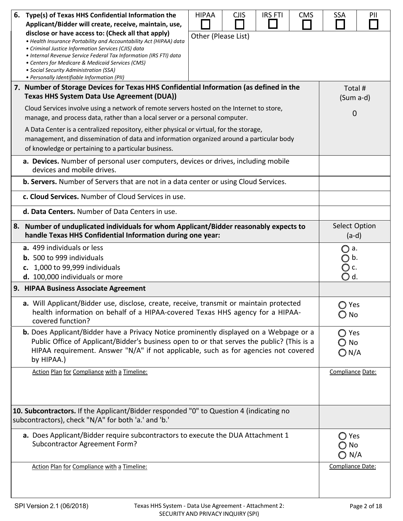| 6.                                                                                                                                                                                                                                                                                                                                                                                                                       | Type(s) of Texas HHS Confidential Information the<br>Applicant/Bidder will create, receive, maintain, use,                                                                                                                                                                                                                                                                                        | <b>HIPAA</b>        | <b>CJIS</b> | <b>IRS FTI</b> | <b>CMS</b>   | <b>SSA</b>                                  | PII |
|--------------------------------------------------------------------------------------------------------------------------------------------------------------------------------------------------------------------------------------------------------------------------------------------------------------------------------------------------------------------------------------------------------------------------|---------------------------------------------------------------------------------------------------------------------------------------------------------------------------------------------------------------------------------------------------------------------------------------------------------------------------------------------------------------------------------------------------|---------------------|-------------|----------------|--------------|---------------------------------------------|-----|
|                                                                                                                                                                                                                                                                                                                                                                                                                          | disclose or have access to: (Check all that apply)<br>• Health Insurance Portability and Accountability Act (HIPAA) data<br>• Criminal Justice Information Services (CJIS) data<br>· Internal Revenue Service Federal Tax Information (IRS FTI) data<br>• Centers for Medicare & Medicaid Services (CMS)<br>• Social Security Administration (SSA)<br>• Personally Identifiable Information (PII) | Other (Please List) |             |                |              |                                             |     |
|                                                                                                                                                                                                                                                                                                                                                                                                                          | 7. Number of Storage Devices for Texas HHS Confidential Information (as defined in the<br>Texas HHS System Data Use Agreement (DUA))                                                                                                                                                                                                                                                              |                     |             |                |              | Total #<br>(Sum a-d)                        |     |
| Cloud Services involve using a network of remote servers hosted on the Internet to store,<br>manage, and process data, rather than a local server or a personal computer.<br>A Data Center is a centralized repository, either physical or virtual, for the storage,<br>management, and dissemination of data and information organized around a particular body<br>of knowledge or pertaining to a particular business. |                                                                                                                                                                                                                                                                                                                                                                                                   |                     |             | $\overline{0}$ |              |                                             |     |
|                                                                                                                                                                                                                                                                                                                                                                                                                          | a. Devices. Number of personal user computers, devices or drives, including mobile<br>devices and mobile drives.                                                                                                                                                                                                                                                                                  |                     |             |                |              |                                             |     |
|                                                                                                                                                                                                                                                                                                                                                                                                                          | <b>b. Servers.</b> Number of Servers that are not in a data center or using Cloud Services.                                                                                                                                                                                                                                                                                                       |                     |             |                |              |                                             |     |
|                                                                                                                                                                                                                                                                                                                                                                                                                          | c. Cloud Services. Number of Cloud Services in use.                                                                                                                                                                                                                                                                                                                                               |                     |             |                |              |                                             |     |
|                                                                                                                                                                                                                                                                                                                                                                                                                          | d. Data Centers. Number of Data Centers in use.                                                                                                                                                                                                                                                                                                                                                   |                     |             |                |              |                                             |     |
|                                                                                                                                                                                                                                                                                                                                                                                                                          | 8. Number of unduplicated individuals for whom Applicant/Bidder reasonably expects to<br>handle Texas HHS Confidential Information during one year:                                                                                                                                                                                                                                               |                     |             |                |              | <b>Select Option</b><br>$(a-d)$             |     |
|                                                                                                                                                                                                                                                                                                                                                                                                                          | a. 499 individuals or less<br><b>b.</b> 500 to 999 individuals<br>c. 1,000 to 99,999 individuals<br>d. 100,000 individuals or more                                                                                                                                                                                                                                                                |                     |             |                |              | ◯ a.<br>◯ b.<br>○ c.<br>$\bigcirc$ d.       |     |
|                                                                                                                                                                                                                                                                                                                                                                                                                          | 9. HIPAA Business Associate Agreement                                                                                                                                                                                                                                                                                                                                                             |                     |             |                |              |                                             |     |
|                                                                                                                                                                                                                                                                                                                                                                                                                          | a. Will Applicant/Bidder use, disclose, create, receive, transmit or maintain protected<br>health information on behalf of a HIPAA-covered Texas HHS agency for a HIPAA-<br>covered function?                                                                                                                                                                                                     |                     |             |                |              | ◯ Yes<br>$\bigcirc$ No                      |     |
|                                                                                                                                                                                                                                                                                                                                                                                                                          | <b>b.</b> Does Applicant/Bidder have a Privacy Notice prominently displayed on a Webpage or a<br>Public Office of Applicant/Bidder's business open to or that serves the public? (This is a<br>HIPAA requirement. Answer "N/A" if not applicable, such as for agencies not covered<br>by HIPAA.)                                                                                                  |                     |             |                |              | ◯ Yes<br>$\bigcirc$ No<br>$\bigcirc$ N/A    |     |
|                                                                                                                                                                                                                                                                                                                                                                                                                          | Action Plan for Compliance with a Timeline:                                                                                                                                                                                                                                                                                                                                                       |                     |             |                |              | Compliance Date:                            |     |
|                                                                                                                                                                                                                                                                                                                                                                                                                          | 10. Subcontractors. If the Applicant/Bidder responded "0" to Question 4 (indicating no<br>subcontractors), check "N/A" for both 'a.' and 'b.'                                                                                                                                                                                                                                                     |                     |             |                |              |                                             |     |
|                                                                                                                                                                                                                                                                                                                                                                                                                          | a. Does Applicant/Bidder require subcontractors to execute the DUA Attachment 1<br>Subcontractor Agreement Form?                                                                                                                                                                                                                                                                                  |                     |             |                |              | $\bigcirc$ Yes<br>No<br>O<br>$\bigcirc$ N/A |     |
|                                                                                                                                                                                                                                                                                                                                                                                                                          | Action Plan for Compliance with a Timeline:                                                                                                                                                                                                                                                                                                                                                       |                     |             |                |              | Compliance Date:                            |     |
| Texas HHS System - Data Use Agreement - Attachment 2:<br>SPI Version 2.1 (06/2018)<br>SECURITY AND PRIVACY INQUIRY (SPI)                                                                                                                                                                                                                                                                                                 |                                                                                                                                                                                                                                                                                                                                                                                                   |                     |             |                | Page 2 of 18 |                                             |     |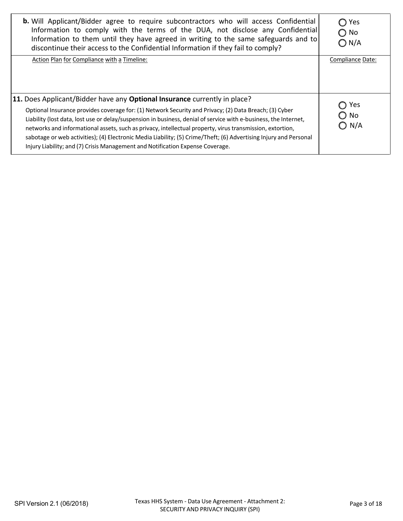| <b>b.</b> Will Applicant/Bidder agree to require subcontractors who will access Confidential<br>Information to comply with the terms of the DUA, not disclose any Confidential<br>Information to them until they have agreed in writing to the same safeguards and to<br>discontinue their access to the Confidential Information if they fail to comply?                                                                                                                                                                                                                                                                   | ◯ Yes<br>$\bigcirc$ No<br>$\bigcirc$ N/A |
|-----------------------------------------------------------------------------------------------------------------------------------------------------------------------------------------------------------------------------------------------------------------------------------------------------------------------------------------------------------------------------------------------------------------------------------------------------------------------------------------------------------------------------------------------------------------------------------------------------------------------------|------------------------------------------|
| Action Plan for Compliance with a Timeline:                                                                                                                                                                                                                                                                                                                                                                                                                                                                                                                                                                                 | Compliance Date:                         |
| 11. Does Applicant/Bidder have any Optional Insurance currently in place?<br>Optional Insurance provides coverage for: (1) Network Security and Privacy; (2) Data Breach; (3) Cyber<br>Liability (lost data, lost use or delay/suspension in business, denial of service with e-business, the Internet,<br>networks and informational assets, such as privacy, intellectual property, virus transmission, extortion,<br>sabotage or web activities); (4) Electronic Media Liability; (5) Crime/Theft; (6) Advertising Injury and Personal<br>Injury Liability; and (7) Crisis Management and Notification Expense Coverage. | Yes<br>$\bigcirc$ No<br>$\bigcirc$ N/A   |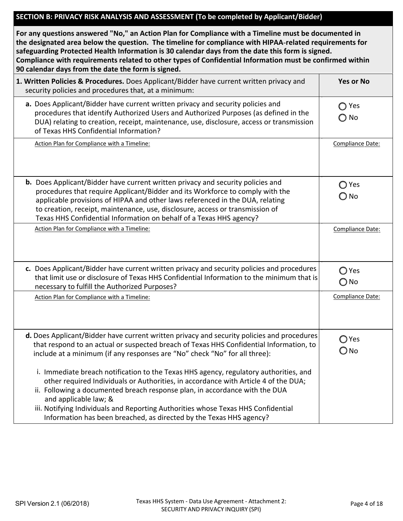#### **SECTION B: PRIVACY RISK ANALYSIS AND ASSESSMENT (To be completed by Applicant/Bidder)**

| For any questions answered "No," an Action Plan for Compliance with a Timeline must be documented in<br>the designated area below the question. The timeline for compliance with HIPAA-related requirements for<br>safeguarding Protected Health Information is 30 calendar days from the date this form is signed.<br>Compliance with requirements related to other types of Confidential Information must be confirmed within<br>90 calendar days from the date the form is signed. |                                 |
|---------------------------------------------------------------------------------------------------------------------------------------------------------------------------------------------------------------------------------------------------------------------------------------------------------------------------------------------------------------------------------------------------------------------------------------------------------------------------------------|---------------------------------|
| 1. Written Policies & Procedures. Does Applicant/Bidder have current written privacy and<br>security policies and procedures that, at a minimum:                                                                                                                                                                                                                                                                                                                                      | <b>Yes or No</b>                |
| a. Does Applicant/Bidder have current written privacy and security policies and<br>procedures that identify Authorized Users and Authorized Purposes (as defined in the<br>DUA) relating to creation, receipt, maintenance, use, disclosure, access or transmission<br>of Texas HHS Confidential Information?                                                                                                                                                                         | Yes<br>$\bigcirc$ No            |
| Action Plan for Compliance with a Timeline:                                                                                                                                                                                                                                                                                                                                                                                                                                           | Compliance Date:                |
| <b>b.</b> Does Applicant/Bidder have current written privacy and security policies and<br>procedures that require Applicant/Bidder and its Workforce to comply with the<br>applicable provisions of HIPAA and other laws referenced in the DUA, relating<br>to creation, receipt, maintenance, use, disclosure, access or transmission of<br>Texas HHS Confidential Information on behalf of a Texas HHS agency?                                                                      | $\bigcirc$ Yes<br>O No          |
| Action Plan for Compliance with a Timeline:                                                                                                                                                                                                                                                                                                                                                                                                                                           | Compliance Date:                |
| c. Does Applicant/Bidder have current written privacy and security policies and procedures<br>that limit use or disclosure of Texas HHS Confidential Information to the minimum that is<br>necessary to fulfill the Authorized Purposes?                                                                                                                                                                                                                                              | ◯ Yes<br>$\bigcirc$ No          |
| Action Plan for Compliance with a Timeline:                                                                                                                                                                                                                                                                                                                                                                                                                                           | Compliance Date:                |
| d. Does Applicant/Bidder have current written privacy and security policies and procedures<br>that respond to an actual or suspected breach of Texas HHS Confidential Information, to<br>include at a minimum (if any responses are "No" check "No" for all three):                                                                                                                                                                                                                   | $\bigcirc$ Yes<br>$\bigcirc$ No |
| i. Immediate breach notification to the Texas HHS agency, regulatory authorities, and<br>other required Individuals or Authorities, in accordance with Article 4 of the DUA;<br>ii. Following a documented breach response plan, in accordance with the DUA<br>and applicable law; &                                                                                                                                                                                                  |                                 |
| iii. Notifying Individuals and Reporting Authorities whose Texas HHS Confidential<br>Information has been breached, as directed by the Texas HHS agency?                                                                                                                                                                                                                                                                                                                              |                                 |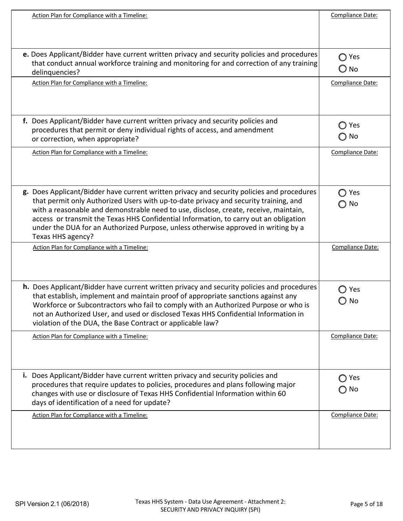| Action Plan for Compliance with a Timeline:                                                                                                                                                                                                                                                                                                                                                                                                                                    | Compliance Date:                                             |
|--------------------------------------------------------------------------------------------------------------------------------------------------------------------------------------------------------------------------------------------------------------------------------------------------------------------------------------------------------------------------------------------------------------------------------------------------------------------------------|--------------------------------------------------------------|
| e. Does Applicant/Bidder have current written privacy and security policies and procedures<br>that conduct annual workforce training and monitoring for and correction of any training<br>delinquencies?                                                                                                                                                                                                                                                                       | Yes<br>O<br>$\bigcirc$ No                                    |
| Action Plan for Compliance with a Timeline:                                                                                                                                                                                                                                                                                                                                                                                                                                    | Compliance Date:                                             |
| f. Does Applicant/Bidder have current written privacy and security policies and<br>procedures that permit or deny individual rights of access, and amendment<br>or correction, when appropriate?                                                                                                                                                                                                                                                                               | Yes<br>O<br>$\bigcirc$ No                                    |
| Action Plan for Compliance with a Timeline:                                                                                                                                                                                                                                                                                                                                                                                                                                    | Compliance Date:                                             |
| g. Does Applicant/Bidder have current written privacy and security policies and procedures<br>that permit only Authorized Users with up-to-date privacy and security training, and<br>with a reasonable and demonstrable need to use, disclose, create, receive, maintain,<br>access or transmit the Texas HHS Confidential Information, to carry out an obligation<br>under the DUA for an Authorized Purpose, unless otherwise approved in writing by a<br>Texas HHS agency? | Yes<br>No<br>$\left( \begin{array}{c} 1 \end{array} \right)$ |
| Action Plan for Compliance with a Timeline:                                                                                                                                                                                                                                                                                                                                                                                                                                    | Compliance Date:                                             |
| h. Does Applicant/Bidder have current written privacy and security policies and procedures<br>that establish, implement and maintain proof of appropriate sanctions against any<br>Workforce or Subcontractors who fail to comply with an Authorized Purpose or who is<br>not an Authorized User, and used or disclosed Texas HHS Confidential Information in<br>violation of the DUA, the Base Contract or applicable law?                                                    | Yes<br>No                                                    |
| Action Plan for Compliance with a Timeline:                                                                                                                                                                                                                                                                                                                                                                                                                                    | Compliance Date:                                             |
| Does Applicant/Bidder have current written privacy and security policies and<br>i.<br>procedures that require updates to policies, procedures and plans following major<br>changes with use or disclosure of Texas HHS Confidential Information within 60<br>days of identification of a need for update?                                                                                                                                                                      | ◯ Yes<br>$\bigcirc$ No                                       |
| Action Plan for Compliance with a Timeline:                                                                                                                                                                                                                                                                                                                                                                                                                                    | Compliance Date:                                             |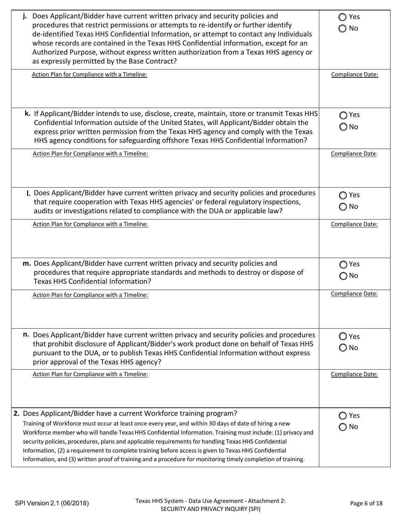| Does Applicant/Bidder have current written privacy and security policies and<br>j.<br>procedures that restrict permissions or attempts to re-identify or further identify<br>de-identified Texas HHS Confidential Information, or attempt to contact any Individuals<br>whose records are contained in the Texas HHS Confidential Information, except for an<br>Authorized Purpose, without express written authorization from a Texas HHS agency or<br>as expressly permitted by the Base Contract?<br>Action Plan for Compliance with a Timeline:                                                                         | Yes<br>No<br>Compliance Date:              |
|-----------------------------------------------------------------------------------------------------------------------------------------------------------------------------------------------------------------------------------------------------------------------------------------------------------------------------------------------------------------------------------------------------------------------------------------------------------------------------------------------------------------------------------------------------------------------------------------------------------------------------|--------------------------------------------|
| k. If Applicant/Bidder intends to use, disclose, create, maintain, store or transmit Texas HHS<br>Confidential Information outside of the United States, will Applicant/Bidder obtain the<br>express prior written permission from the Texas HHS agency and comply with the Texas<br>HHS agency conditions for safeguarding offshore Texas HHS Confidential Information?<br>Action Plan for Compliance with a Timeline:                                                                                                                                                                                                     | $\bigcirc$ Yes<br>○ No<br>Compliance Date: |
|                                                                                                                                                                                                                                                                                                                                                                                                                                                                                                                                                                                                                             |                                            |
| I. Does Applicant/Bidder have current written privacy and security policies and procedures<br>that require cooperation with Texas HHS agencies' or federal regulatory inspections,<br>audits or investigations related to compliance with the DUA or applicable law?                                                                                                                                                                                                                                                                                                                                                        | $\bigcirc$ Yes<br>$\bigcirc$ No            |
| Action Plan for Compliance with a Timeline:                                                                                                                                                                                                                                                                                                                                                                                                                                                                                                                                                                                 | Compliance Date:                           |
| m. Does Applicant/Bidder have current written privacy and security policies and<br>procedures that require appropriate standards and methods to destroy or dispose of<br><b>Texas HHS Confidential Information?</b>                                                                                                                                                                                                                                                                                                                                                                                                         | Yes<br>◯ No                                |
| Action Plan for Compliance with a Timeline:                                                                                                                                                                                                                                                                                                                                                                                                                                                                                                                                                                                 | Compliance Date:                           |
| n. Does Applicant/Bidder have current written privacy and security policies and procedures<br>that prohibit disclosure of Applicant/Bidder's work product done on behalf of Texas HHS<br>pursuant to the DUA, or to publish Texas HHS Confidential Information without express<br>prior approval of the Texas HHS agency?                                                                                                                                                                                                                                                                                                   | $\bigcirc$ Yes<br>O No                     |
| Action Plan for Compliance with a Timeline:                                                                                                                                                                                                                                                                                                                                                                                                                                                                                                                                                                                 | Compliance Date:                           |
| 2. Does Applicant/Bidder have a current Workforce training program?<br>Training of Workforce must occur at least once every year, and within 30 days of date of hiring a new<br>Workforce member who will handle Texas HHS Confidential Information. Training must include: (1) privacy and<br>security policies, procedures, plans and applicable requirements for handling Texas HHS Confidential<br>Information, (2) a requirement to complete training before access is given to Texas HHS Confidential<br>Information, and (3) written proof of training and a procedure for monitoring timely completion of training. | Yes<br>No                                  |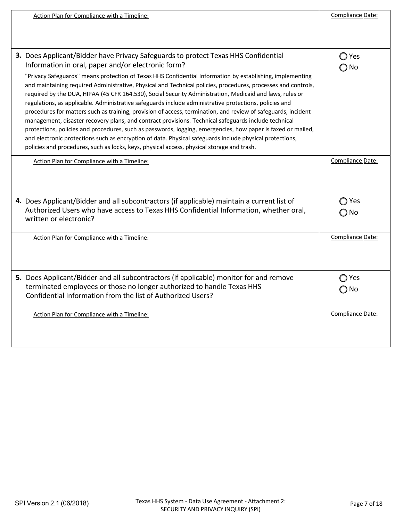| Action Plan for Compliance with a Timeline:                                                                                                                                                                                                                                                                                                                                                                                                                                                                                                                                                                                                                                                                                                                                                                                                                                                                                                                                                                                                                                                                                                     | Compliance Date:       |
|-------------------------------------------------------------------------------------------------------------------------------------------------------------------------------------------------------------------------------------------------------------------------------------------------------------------------------------------------------------------------------------------------------------------------------------------------------------------------------------------------------------------------------------------------------------------------------------------------------------------------------------------------------------------------------------------------------------------------------------------------------------------------------------------------------------------------------------------------------------------------------------------------------------------------------------------------------------------------------------------------------------------------------------------------------------------------------------------------------------------------------------------------|------------------------|
|                                                                                                                                                                                                                                                                                                                                                                                                                                                                                                                                                                                                                                                                                                                                                                                                                                                                                                                                                                                                                                                                                                                                                 |                        |
| 3. Does Applicant/Bidder have Privacy Safeguards to protect Texas HHS Confidential<br>Information in oral, paper and/or electronic form?<br>"Privacy Safeguards" means protection of Texas HHS Confidential Information by establishing, implementing<br>and maintaining required Administrative, Physical and Technical policies, procedures, processes and controls,<br>required by the DUA, HIPAA (45 CFR 164.530), Social Security Administration, Medicaid and laws, rules or<br>regulations, as applicable. Administrative safeguards include administrative protections, policies and<br>procedures for matters such as training, provision of access, termination, and review of safeguards, incident<br>management, disaster recovery plans, and contract provisions. Technical safeguards include technical<br>protections, policies and procedures, such as passwords, logging, emergencies, how paper is faxed or mailed,<br>and electronic protections such as encryption of data. Physical safeguards include physical protections,<br>policies and procedures, such as locks, keys, physical access, physical storage and trash. | ◯ Yes<br>$\bigcirc$ No |
| Action Plan for Compliance with a Timeline:                                                                                                                                                                                                                                                                                                                                                                                                                                                                                                                                                                                                                                                                                                                                                                                                                                                                                                                                                                                                                                                                                                     | Compliance Date:       |
| 4. Does Applicant/Bidder and all subcontractors (if applicable) maintain a current list of<br>Authorized Users who have access to Texas HHS Confidential Information, whether oral,<br>written or electronic?                                                                                                                                                                                                                                                                                                                                                                                                                                                                                                                                                                                                                                                                                                                                                                                                                                                                                                                                   | ◯ Yes<br>○ No          |
| Action Plan for Compliance with a Timeline:                                                                                                                                                                                                                                                                                                                                                                                                                                                                                                                                                                                                                                                                                                                                                                                                                                                                                                                                                                                                                                                                                                     | Compliance Date:       |
| 5. Does Applicant/Bidder and all subcontractors (if applicable) monitor for and remove<br>terminated employees or those no longer authorized to handle Texas HHS<br>Confidential Information from the list of Authorized Users?                                                                                                                                                                                                                                                                                                                                                                                                                                                                                                                                                                                                                                                                                                                                                                                                                                                                                                                 | ○Yes<br>(_) No         |
| Action Plan for Compliance with a Timeline:                                                                                                                                                                                                                                                                                                                                                                                                                                                                                                                                                                                                                                                                                                                                                                                                                                                                                                                                                                                                                                                                                                     | Compliance Date:       |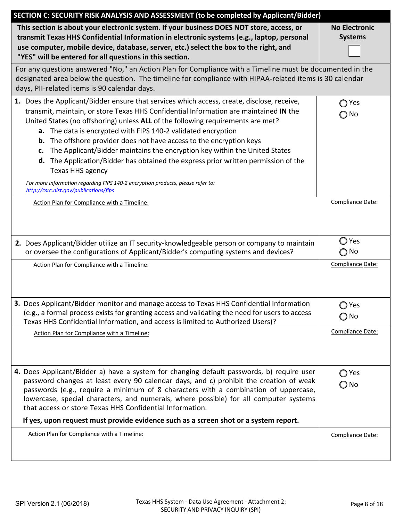| SECTION C: SECURITY RISK ANALYSIS AND ASSESSMENT (to be completed by Applicant/Bidder)                                                                                                                                                                                                                                                                                                                                                                                                                                                                                                                                                                                                                                                        |                                        |
|-----------------------------------------------------------------------------------------------------------------------------------------------------------------------------------------------------------------------------------------------------------------------------------------------------------------------------------------------------------------------------------------------------------------------------------------------------------------------------------------------------------------------------------------------------------------------------------------------------------------------------------------------------------------------------------------------------------------------------------------------|----------------------------------------|
| This section is about your electronic system. If your business DOES NOT store, access, or<br>transmit Texas HHS Confidential Information in electronic systems (e.g., laptop, personal<br>use computer, mobile device, database, server, etc.) select the box to the right, and<br>"YES" will be entered for all questions in this section.                                                                                                                                                                                                                                                                                                                                                                                                   | <b>No Electronic</b><br><b>Systems</b> |
| For any questions answered "No," an Action Plan for Compliance with a Timeline must be documented in the<br>designated area below the question. The timeline for compliance with HIPAA-related items is 30 calendar<br>days, PII-related items is 90 calendar days.                                                                                                                                                                                                                                                                                                                                                                                                                                                                           |                                        |
| 1. Does the Applicant/Bidder ensure that services which access, create, disclose, receive,<br>transmit, maintain, or store Texas HHS Confidential Information are maintained IN the<br>United States (no offshoring) unless ALL of the following requirements are met?<br>a. The data is encrypted with FIPS 140-2 validated encryption<br>The offshore provider does not have access to the encryption keys<br>b.<br>The Applicant/Bidder maintains the encryption key within the United States<br>c.<br>d. The Application/Bidder has obtained the express prior written permission of the<br>Texas HHS agency<br>For more information regarding FIPS 140-2 encryption products, please refer to:<br>http://csrc.nist.gov/publications/fips | Yes<br>◯ No                            |
| Action Plan for Compliance with a Timeline:                                                                                                                                                                                                                                                                                                                                                                                                                                                                                                                                                                                                                                                                                                   | Compliance Date:                       |
| 2. Does Applicant/Bidder utilize an IT security-knowledgeable person or company to maintain<br>or oversee the configurations of Applicant/Bidder's computing systems and devices?                                                                                                                                                                                                                                                                                                                                                                                                                                                                                                                                                             | ○ Yes<br>$\bigcirc$ No                 |
| Action Plan for Compliance with a Timeline:                                                                                                                                                                                                                                                                                                                                                                                                                                                                                                                                                                                                                                                                                                   | Compliance Date:                       |
| 3. Does Applicant/Bidder monitor and manage access to Texas HHS Confidential Information<br>(e.g., a formal process exists for granting access and validating the need for users to access<br>Texas HHS Confidential Information, and access is limited to Authorized Users)?                                                                                                                                                                                                                                                                                                                                                                                                                                                                 | ◯ Yes<br>$\bigcirc$ No                 |
| Action Plan for Compliance with a Timeline:                                                                                                                                                                                                                                                                                                                                                                                                                                                                                                                                                                                                                                                                                                   | Compliance Date:                       |
| 4. Does Applicant/Bidder a) have a system for changing default passwords, b) require user<br>password changes at least every 90 calendar days, and c) prohibit the creation of weak<br>passwords (e.g., require a minimum of 8 characters with a combination of uppercase,<br>lowercase, special characters, and numerals, where possible) for all computer systems<br>that access or store Texas HHS Confidential Information.<br>If yes, upon request must provide evidence such as a screen shot or a system report.                                                                                                                                                                                                                       | ◯ Yes<br>$\bigcirc$ No                 |
| Action Plan for Compliance with a Timeline:                                                                                                                                                                                                                                                                                                                                                                                                                                                                                                                                                                                                                                                                                                   | Compliance Date:                       |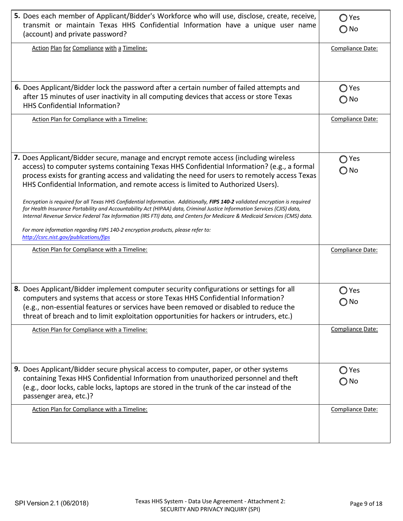| 5. Does each member of Applicant/Bidder's Workforce who will use, disclose, create, receive,<br>transmit or maintain Texas HHS Confidential Information have a unique user name<br>(account) and private password?                                                                                                                                                                                                                                                                                                                                                                                                                                                                                                                                                                                                                                                                             | $\bigcirc$ Yes<br>$\bigcirc$ No |
|------------------------------------------------------------------------------------------------------------------------------------------------------------------------------------------------------------------------------------------------------------------------------------------------------------------------------------------------------------------------------------------------------------------------------------------------------------------------------------------------------------------------------------------------------------------------------------------------------------------------------------------------------------------------------------------------------------------------------------------------------------------------------------------------------------------------------------------------------------------------------------------------|---------------------------------|
| Action Plan for Compliance with a Timeline:                                                                                                                                                                                                                                                                                                                                                                                                                                                                                                                                                                                                                                                                                                                                                                                                                                                    | Compliance Date:                |
| 6. Does Applicant/Bidder lock the password after a certain number of failed attempts and<br>after 15 minutes of user inactivity in all computing devices that access or store Texas<br>HHS Confidential Information?                                                                                                                                                                                                                                                                                                                                                                                                                                                                                                                                                                                                                                                                           | $\bigcirc$ Yes<br>⊝ No          |
| Action Plan for Compliance with a Timeline:                                                                                                                                                                                                                                                                                                                                                                                                                                                                                                                                                                                                                                                                                                                                                                                                                                                    | Compliance Date:                |
| 7. Does Applicant/Bidder secure, manage and encrypt remote access (including wireless<br>access) to computer systems containing Texas HHS Confidential Information? (e.g., a formal<br>process exists for granting access and validating the need for users to remotely access Texas<br>HHS Confidential Information, and remote access is limited to Authorized Users).<br>Encryption is required for all Texas HHS Confidential Information. Additionally, FIPS 140-2 validated encryption is required<br>for Health Insurance Portability and Accountability Act (HIPAA) data, Criminal Justice Information Services (CJIS) data,<br>Internal Revenue Service Federal Tax Information (IRS FTI) data, and Centers for Medicare & Medicaid Services (CMS) data.<br>For more information regarding FIPS 140-2 encryption products, please refer to:<br>http://csrc.nist.gov/publications/fips | Yes<br>⊃ No                     |
| Action Plan for Compliance with a Timeline:                                                                                                                                                                                                                                                                                                                                                                                                                                                                                                                                                                                                                                                                                                                                                                                                                                                    | Compliance Date:                |
| 8. Does Applicant/Bidder implement computer security configurations or settings for all<br>computers and systems that access or store Texas HHS Confidential Information?<br>(e.g., non-essential features or services have been removed or disabled to reduce the<br>threat of breach and to limit exploitation opportunities for hackers or intruders, etc.)                                                                                                                                                                                                                                                                                                                                                                                                                                                                                                                                 | $\bigcirc$ Yes<br>$\bigcirc$ No |
| Action Plan for Compliance with a Timeline:                                                                                                                                                                                                                                                                                                                                                                                                                                                                                                                                                                                                                                                                                                                                                                                                                                                    | Compliance Date:                |
| <b>9.</b> Does Applicant/Bidder secure physical access to computer, paper, or other systems<br>containing Texas HHS Confidential Information from unauthorized personnel and theft<br>(e.g., door locks, cable locks, laptops are stored in the trunk of the car instead of the<br>passenger area, etc.)?                                                                                                                                                                                                                                                                                                                                                                                                                                                                                                                                                                                      | ◯ Yes<br>$\bigcirc$ No          |
| Action Plan for Compliance with a Timeline:                                                                                                                                                                                                                                                                                                                                                                                                                                                                                                                                                                                                                                                                                                                                                                                                                                                    | Compliance Date:                |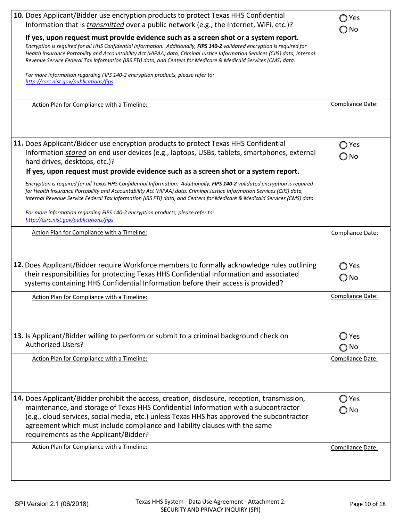| 10. Does Applicant/Bidder use encryption products to protect Texas HHS Confidential<br>Information that is transmitted over a public network (e.g., the Internet, WiFi, etc.)?                                                                                                                                                                                                                                                                                          | $\bigcirc$ Yes<br>◯ No |
|-------------------------------------------------------------------------------------------------------------------------------------------------------------------------------------------------------------------------------------------------------------------------------------------------------------------------------------------------------------------------------------------------------------------------------------------------------------------------|------------------------|
| If yes, upon request must provide evidence such as a screen shot or a system report.<br>Encryption is required for all HHS Confidential Information. Additionally, FIPS 140-2 validated encryption is required for<br>Health Insurance Portability and Accountability Act (HIPAA) data, Criminal Justice Information Services (CJIS) data, Internal<br>Revenue Service Federal Tax Information (IRS FTI) data, and Centers for Medicare & Medicaid Services (CMS) data. |                        |
| For more information regarding FIPS 140-2 encryption products, please refer to:<br>http://csrc.nist.gov/publications/fips                                                                                                                                                                                                                                                                                                                                               |                        |
| Action Plan for Compliance with a Timeline:                                                                                                                                                                                                                                                                                                                                                                                                                             | Compliance Date:       |
| 11. Does Applicant/Bidder use encryption products to protect Texas HHS Confidential<br>Information stored on end user devices (e.g., laptops, USBs, tablets, smartphones, external<br>hard drives, desktops, etc.)?<br>If yes, upon request must provide evidence such as a screen shot or a system report.                                                                                                                                                             | ◯ Yes<br>$\bigcirc$ No |
| Encryption is required for all Texas HHS Confidential Information. Additionally, FIPS 140-2 validated encryption is required<br>for Health Insurance Portability and Accountability Act (HIPAA) data, Criminal Justice Information Services (CJIS) data,<br>Internal Revenue Service Federal Tax Information (IRS FTI) data, and Centers for Medicare & Medicaid Services (CMS) data.                                                                                   |                        |
| For more information regarding FIPS 140-2 encryption products, please refer to:<br>http://csrc.nist.gov/publications/fips                                                                                                                                                                                                                                                                                                                                               |                        |
| Action Plan for Compliance with a Timeline:                                                                                                                                                                                                                                                                                                                                                                                                                             | Compliance Date:       |
| 12. Does Applicant/Bidder require Workforce members to formally acknowledge rules outlining<br>their responsibilities for protecting Texas HHS Confidential Information and associated<br>systems containing HHS Confidential Information before their access is provided?                                                                                                                                                                                              | ◯ Yes<br>O No          |
| Action Plan for Compliance with a Timeline:                                                                                                                                                                                                                                                                                                                                                                                                                             | Compliance Date:       |
| 13. Is Applicant/Bidder willing to perform or submit to a criminal background check on<br><b>Authorized Users?</b>                                                                                                                                                                                                                                                                                                                                                      | Yes<br>No              |
| Action Plan for Compliance with a Timeline:                                                                                                                                                                                                                                                                                                                                                                                                                             | Compliance Date:       |
| <b>14.</b> Does Applicant/Bidder prohibit the access, creation, disclosure, reception, transmission,<br>maintenance, and storage of Texas HHS Confidential Information with a subcontractor<br>(e.g., cloud services, social media, etc.) unless Texas HHS has approved the subcontractor<br>agreement which must include compliance and liability clauses with the same<br>requirements as the Applicant/Bidder?                                                       | ◯ Yes<br>○ No          |
| Action Plan for Compliance with a Timeline:                                                                                                                                                                                                                                                                                                                                                                                                                             | Compliance Date:       |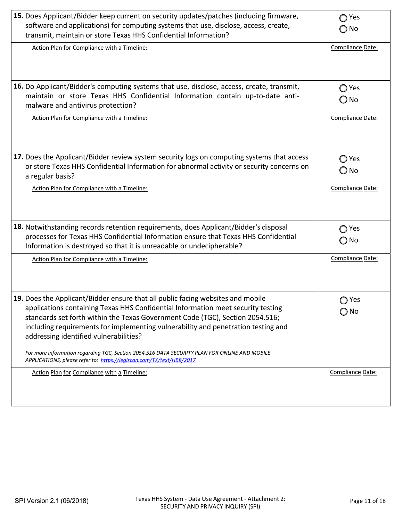| 15. Does Applicant/Bidder keep current on security updates/patches (including firmware,<br>software and applications) for computing systems that use, disclose, access, create,<br>transmit, maintain or store Texas HHS Confidential Information?                                                                                                                                                                                                                                                                                                           | Yes<br>∩<br>$\bigcirc$ No |
|--------------------------------------------------------------------------------------------------------------------------------------------------------------------------------------------------------------------------------------------------------------------------------------------------------------------------------------------------------------------------------------------------------------------------------------------------------------------------------------------------------------------------------------------------------------|---------------------------|
| Action Plan for Compliance with a Timeline:                                                                                                                                                                                                                                                                                                                                                                                                                                                                                                                  | Compliance Date:          |
| 16. Do Applicant/Bidder's computing systems that use, disclose, access, create, transmit,<br>maintain or store Texas HHS Confidential Information contain up-to-date anti-<br>malware and antivirus protection?                                                                                                                                                                                                                                                                                                                                              | ◯ Yes<br>O No             |
| Action Plan for Compliance with a Timeline:                                                                                                                                                                                                                                                                                                                                                                                                                                                                                                                  | Compliance Date:          |
| 17. Does the Applicant/Bidder review system security logs on computing systems that access<br>or store Texas HHS Confidential Information for abnormal activity or security concerns on<br>a regular basis?                                                                                                                                                                                                                                                                                                                                                  | ◯ Yes<br>O No             |
| Action Plan for Compliance with a Timeline:                                                                                                                                                                                                                                                                                                                                                                                                                                                                                                                  | Compliance Date:          |
| 18. Notwithstanding records retention requirements, does Applicant/Bidder's disposal<br>processes for Texas HHS Confidential Information ensure that Texas HHS Confidential<br>Information is destroyed so that it is unreadable or undecipherable?                                                                                                                                                                                                                                                                                                          | Yes<br>∩<br>$\bigcirc$ No |
| Action Plan for Compliance with a Timeline:                                                                                                                                                                                                                                                                                                                                                                                                                                                                                                                  | Compliance Date:          |
| 19. Does the Applicant/Bidder ensure that all public facing websites and mobile<br>applications containing Texas HHS Confidential Information meet security testing<br>standards set forth within the Texas Government Code (TGC), Section 2054.516;<br>including requirements for implementing vulnerability and penetration testing and<br>addressing identified vulnerabilities?<br>For more information regarding TGC, Section 2054.516 DATA SECURITY PLAN FOR ONLINE AND MOBILE<br>APPLICATIONS, please refer to: https://legiscan.com/TX/text/HB8/2017 | ◯ Yes<br>$\bigcirc$ No    |
| Action Plan for Compliance with a Timeline:                                                                                                                                                                                                                                                                                                                                                                                                                                                                                                                  | Compliance Date:          |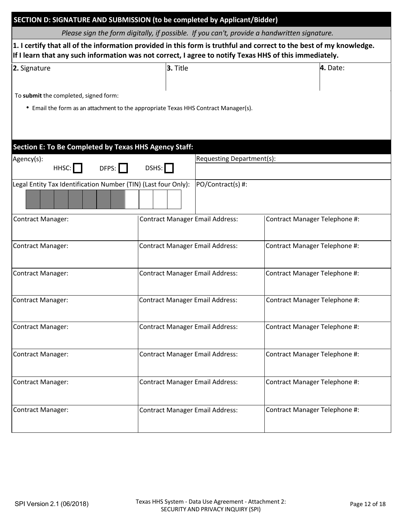| SECTION D: SIGNATURE AND SUBMISSION (to be completed by Applicant/Bidder)                                                                                                                                                     |                                        |                               |  |  |
|-------------------------------------------------------------------------------------------------------------------------------------------------------------------------------------------------------------------------------|----------------------------------------|-------------------------------|--|--|
| Please sign the form digitally, if possible. If you can't, provide a handwritten signature.                                                                                                                                   |                                        |                               |  |  |
| 1. I certify that all of the information provided in this form is truthful and correct to the best of my knowledge.<br>If I learn that any such information was not correct, I agree to notify Texas HHS of this immediately. |                                        |                               |  |  |
| 2. Signature                                                                                                                                                                                                                  | 3. Title                               | 4. Date:                      |  |  |
| To submit the completed, signed form:                                                                                                                                                                                         |                                        |                               |  |  |
| • Email the form as an attachment to the appropriate Texas HHS Contract Manager(s).                                                                                                                                           |                                        |                               |  |  |
|                                                                                                                                                                                                                               |                                        |                               |  |  |
|                                                                                                                                                                                                                               |                                        |                               |  |  |
| Section E: To Be Completed by Texas HHS Agency Staff:<br>Agency(s):                                                                                                                                                           |                                        | Requesting Department(s):     |  |  |
| DFPS:<br>HHSC:                                                                                                                                                                                                                | DSHS:                                  |                               |  |  |
| Legal Entity Tax Identification Number (TIN) (Last four Only):                                                                                                                                                                |                                        | PO/Contract(s) #:             |  |  |
|                                                                                                                                                                                                                               |                                        |                               |  |  |
| <b>Contract Manager:</b>                                                                                                                                                                                                      | <b>Contract Manager Email Address:</b> | Contract Manager Telephone #: |  |  |
| <b>Contract Manager:</b>                                                                                                                                                                                                      | <b>Contract Manager Email Address:</b> | Contract Manager Telephone #: |  |  |
| Contract Manager:                                                                                                                                                                                                             | <b>Contract Manager Email Address:</b> | Contract Manager Telephone #: |  |  |
| <b>Contract Manager:</b>                                                                                                                                                                                                      | <b>Contract Manager Email Address:</b> | Contract Manager Telephone #: |  |  |
| <b>Contract Manager:</b>                                                                                                                                                                                                      | <b>Contract Manager Email Address:</b> | Contract Manager Telephone #: |  |  |
| <b>Contract Manager:</b>                                                                                                                                                                                                      | <b>Contract Manager Email Address:</b> | Contract Manager Telephone #: |  |  |
| <b>Contract Manager:</b>                                                                                                                                                                                                      | <b>Contract Manager Email Address:</b> | Contract Manager Telephone #: |  |  |
| <b>Contract Manager:</b>                                                                                                                                                                                                      | <b>Contract Manager Email Address:</b> | Contract Manager Telephone #: |  |  |
|                                                                                                                                                                                                                               |                                        |                               |  |  |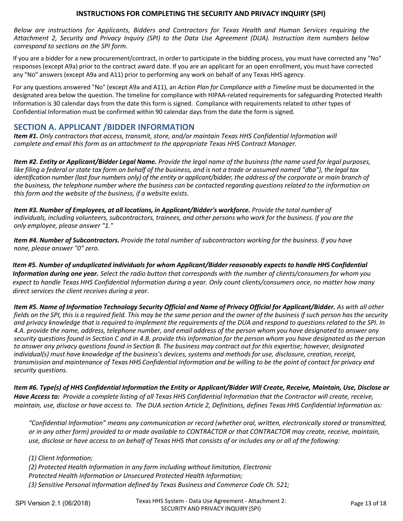# **INSTRUCTIONS FOR COMPLETING THE SECURITY AND PRIVACY INQUIRY (SPI)**

 Below are instructions for Applicants, Bidders and Contractors for Texas Health and Human Services requiring the Attachment 2, Security and Privacy Inguiry (SPI) to the Data Use Agreement (DUA). Instruction item numbers below *correspond to sections on the SPI form.* 

 If you are a bidder for a new procurement/contract, in order to participate in the bidding process, you must have corrected any "No" rescept Abapture to the contract award date. If you are an applicant for an open emolinent, you must have corrected<br>Secures (except A02 and A11) prior to performing any work on bobalf of any Toyas HHS agangy any "No" answers (except A9a and A11) prior to performing any work on behalf of any Texas HHS agency. responses (except A9a) prior to the contract award date. If you are an applicant for an open enrollment, you must have corrected

 For any questions answered "No" (except A9a and A11), an *Action Plan for Compliance with a Timeline* must be documented in the designated area below the question. The timeline for compliance with HIPAA-related requirements for safeguarding Protected Health Information is 30 calendar days from the date this form is signed. Compliance with requirements related to other types of Confidential Information must be confirmed within 90 calendar days from the date the form is signed.

### **SECTION A. APPLICANT /BIDDER INFORMATION**

Item #1. Only contractors that access, transmit, store, and/or maintain Texas HHS Confidential Information will *complete and email thi s form as an attachment to the appropriate Texas HHS Contract Manager.*

Item #2. Entity or Applicant/Bidder Legal Name. Provide the legal name of the business (the name used for legal purposes, like filing a federal or state tax form on behalf of the business, and is not a trade or assumed named "dba"), the legal tax identification number (last four numbers only) of the entity or applicant/bidder, the address of the corporate or main branch of the business, the telephone number where the business can be contacted regarding questions related to the information on *this form and the website of the business, if a website exists.*

*Item #3. Number of Employees, at all locations, in Applicant/Bidder's workforce. Provide the total number of* individuals, including volunteers, subcontractors, trainees, and other persons who work for the business. If you are the *only employee, please answer "1."*

Item #4. Number of Subcontractors. Provide the total number of subcontractors working for the business. If you have *none, please answer "0" zero.*

Item #5. Number of unduplicated individuals for whom Applicant/Bidder reasonably expects to handle HHS Confidential Information during one year. Select the radio button that corresponds with the number of clients/consumers for whom you expect to handle Texas HHS Confidential Information during a year. Only count clients/consumers once, no matter how many  *direct services the client receives during a year.*

Item #5. Name of Information Technology Security Official and Name of Privacy Official for Applicant/Bidder. As with all other fields on the SPI, this is a required field. This may be the same person and the owner of the business if such person has the security and privacy knowledge that is required to implement the requirements of the DUA and respond to questions related to the SPI. In 4.A. provide the name, address, telephone number, and email address of the person whom you have designated to answer any security questions found in Section C and in 4.B. provide this information for the person whom you have designated as the person to answer any privacy questions found in Section B. The business may contract out for this expertise; however, designated individual(s) must have knowledge of the business's devices, systems and methods for use, disclosure, creation, receipt, transmission and maintenance of Texas HHS Confidential Information and be willing to be the point of contact for privacy and *security questions.*

Item #6. Type(s) of HHS Confidential Information the Entity or Applicant/Bidder Will Create, Receive, Maintain, Use, Disclose or Have Access to: Provide a complete listing of all Texas HHS Confidential Information that the Contractor will create, receive, maintain, use, disclose or have access to. The DUA section Article 2, Definitions, defines Texas HHS Confidential Information as:

*"Confidential Information" means any communication or record (whether oral, written, electronically stored or transmitted,* or in any other form) provided to or made available to CONTRACTOR or that CONTRACTOR may create, receive, maintain, use, disclose or have access to on behalf of Texas HHS that consists of or includes any or all of the following:

 *(1) Client Information; (2) Protected Health Information in any form including without limitation, Electronic Protected Health Information or Unsecured Protected Health Information; (3) Sensitive Personal Information defined by Texas Business and Commerce Code Ch. 521;*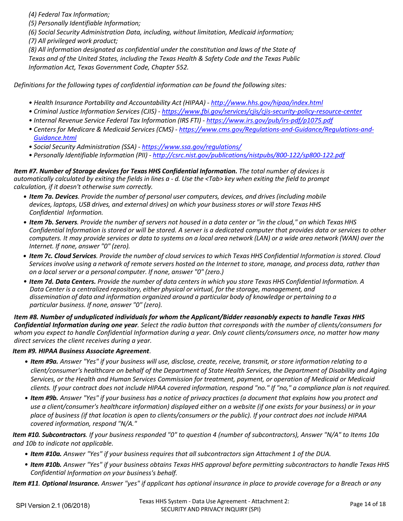*(4) Federal Tax Information;*

 *(5) Personally Identifiable Information;*

 *(6) Social Security Administration Data, including, without limitation, Medicaid information; (7) All privileged work product;*

(8) All information designated as confidential under the constitution and laws of the State of Texas and of the United States, including the Texas Health & Safety Code and the Texas Public  *Information Act, Texas Government Code, Chapter 552.*

Definitions for the following types of confidential information can be found the following sites:

- *• Health Insurance Portability and Accountability Act (HIPAA) ‐ http://www.hhs.gov/hipaa/index.html*
- · Criminal Justice Information Services (CJIS) https://www.fbi.gov/services/cjis/cjis-security-policy-resource-center
- *• Internal Revenue Service Federal Tax Information (IRS FTI) ‐ https://www.irs.gov/pub/irs‐pdf/p1075.pdf*
- Centers for Medicare & Medicaid Services (CMS) https://www.cms.gov/Regulations-and-Guidance/Regulations-and-*Guidance.html*
- *• Social Security Administration (SSA) ‐ https://www.ssa.gov/regulations/*
- *• Personally Identifiable Information (PII) ‐ http://csrc.nist.gov/publications/nistpubs/800‐122/sp800‐122.pdf*

Item #7. Number of Storage devices for Texas HHS Confidential Information. The total number of devices is automatically calculated by exiting the fields in lines a - d. Use the <Tab> key when exiting the field to prompt  *calculation, if it doesn't otherwise sum correctly.* information designated as confidential under the constitution and laws of the State of<br>and of the United States, including the Texas Health & Safety Code and the Texas Public<br>ation Act, Texas Government Code, Chapter 552.<br>

- . Item 7a. Devices. Provide the number of personal user computers, devices, and drives (including mobile devices, laptops, USB drives, and external drives) on which your business stores or will store Texas HHS *Confidential Information.*
- . Item 7b. Servers. Provide the number of servers not housed in a data center or "in the cloud," on which Texas HHS Confidential Information is stored or will be stored. A server is a dedicated computer that provides data or services to other computers. It may provide services or data to systems on a local area network (LAN) or a wide area network (WAN) over the  *Internet. If none, answer "0" (zero).*
- . Item 7c. Cloud Services. Provide the number of cloud services to which Texas HHS Confidential Information is stored. Cloud Services involve using a network of remote servers hosted on the Internet to store, manage, and process data, rather than  *on a local server or a personal computer. If none, answer "0" (zero.)*
- Item 7d. Data Centers. Provide the number of data centers in which you store Texas HHS Confidential Information. A Data Center is a centralized repository, either physical or virtual, for the storage, management, and<br>dissemination of data and information organized around a particular body of knowledge or pertaini dissemination of data and information organized around a particular body of knowledge or pertaining to a  *particular business. If none, answer "0" (zero).*

Item #8. Number of unduplicated individuals for whom the Applicant/Bidder reasonably expects to handle Texas HHS Confidential Information during one year. Select the radio button that corresponds with the number of clients/consumers for whom you expect to handle Confidential Information during a year. Only count clients/consumers once, no matter how many  *direct services the client receives during a year.*

#### *Item #9. HIPAA Business Associate Agreement*.

- Item #9a. Answer "Yes" if your business will use, disclose, create, receive, transmit, or store information relating to a client/consumer's healthcare on behalf of the Department of State Health Services, the Department of Disability and Aging Services, or the Health and Human Services Commission for treatment, payment, or operation of Medicaid or Medicaid clients. If your contract does not include HIPAA covered information, respond "no." If "no," a compliance plan is not required.
- Item #9b. Answer "Yes" if your business has a notice of privacy practices (a document that explains how you protect and use a client/consumer's healthcare information) displayed either on a website (if one exists for your business) or in your place of business (if that location is open to clients/consumers or the public). If your contract does not include HIPAA  *covered information, respond "N/A."*

**Item #10. Subcontractors**. If your business responded "0" to question 4 (number of subcontractors), Answer "N/A" to Items 10a  *and 10b to indicate not applicable.*

- Item #10a. Answer "Yes" if your business requires that all subcontractors sign Attachment 1 of the DUA.
- . Item #10b. Answer "Yes" if your business obtains Texas HHS approval before permitting subcontractors to handle Texas HHS  *Confidential Information on your business's behalf.*

Item #11. Optional Insurance. Answer "yes" if applicant has optional insurance in place to provide coverage for a Breach or any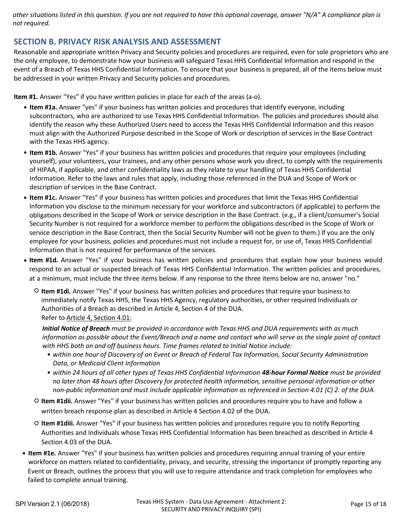*other situations listed in this question. If you are not required to have this optional coverage, answer "N/A" A compliance plan is not required.*

### **SECTION B. PRIVACY RISK ANALYSIS AND ASSESSMENT**

 Reasonable and appropriate written Privacy and Security policies and procedures are required, even for sole proprietors who are the only employee, to demonstrate how your business will safeguard Texas HHS Confidential Information and respond in the event of a Breach of Texas HHS Confidential Information. To ensure that your business is prepared, all of the items below must be addressed in your written Privacy and Security policies and procedures.

 **Item #1.** Answer "Yes" if you have written policies in place for each of the areas (a‐o).

- subcontractors, who are authorized to use Texas HHS Confidential Information. The policies and procedures should also  identify the reason why these Authorized Users need to access the Texas HHS Confidential Information and this reason must align with the Authorized Purpose described in the Scope of Work or description of services in the Base Contract with the Texas HHS agency. **• Item #1a.** Answer "yes" if your business has written policies and procedures that identify everyone, including
- **• Item #1b.** Answer "Yes" if your business has written policies and procedures that require your employees (including  of HIPAA, if applicable, and other confidentiality laws as they relate to your handling of Texas HHS Confidential Information. Refer to the laws and rules that apply, including those referenced in the DUA and Scope of Work or description of services in the Base Contract. yourself), your volunteers, your trainees, and any other persons whose work you direct, to comply with the requirements
- **• Item #1c.** Answer "Yes" if your business has written policies and procedures that limit the Texas HHS Confidential Information you disclose to the minimum necessary for your workforce and subcontractors (if applicable) to perform the  obligations described in the Scope of Work or service description in the Base Contract. (e.g., if a client/consumer's Social Security Number is not required for a workforce member to perform the obligations described in the Scope of Work or service description in the Base Contract, then the Social Security Number will not be given to them.) If you are the only employee for your business, policies and procedures must not include a request for, or use of, Texas HHS Confidential Information that is not required for performance of the services.
- **• Item #1d.** Answer "Yes" if your business has written policies and procedures that explain how your business would respond to an actual or suspected breach of Texas HHS Confidential Information. The written policies and procedures, at a minimum, must include the three items below. If any response to the three items below are no, answer "no."
	- ○ **Item #1di.** Answer "Yes" if your business has written policies and procedures that require your business to immediately notify Texas HHS, the Texas HHS Agency, regulatory authorities, or other required Individuals or  Authorities of a Breach as described in Article 4, Section 4 of the DUA. Refer to <u>Article 4, Section 4.01:</u> And the set of the set of the set of the set of the set of the set of the set of the set of the set of the set of the set of the set of the set of the set of the set of the set of the se

Initial Notice of Breach must be provided in accordance with Texas HHS and DUA requirements with as much information as possible about the Event/Breach and a name and contact who will serve as the single point of contact with HHS both on and off business hours. Time frames related to Initial Notice include:

- · within one hour of Discovery of an Event or Breach of Federal Tax Information, Social Security Administration  *Data, or Medicaid Client Information*
- within 24 hours of all other types of Texas HHS Confidential Information 48-hour Formal Notice must be provided no later than 48 hours after Discovery for protected health information, sensitive personal information or other non-public information and must include applicable information as referenced in Section 4.01 (C) 2. of the DUA.
- **○ Item #1dii.** Answer "Yes" if your business has written policies and procedures require you to have and follow a  written breach response plan as described in Article 4 Section 4.02 of the DUA.
- **○ Item #1diii.** Answer "Yes" if your business has written policies and procedures require you to notify Reporting Authorities and Individuals whose Texas HHS Confidential Information has been breached as described in Article 4 Section 4.03 of the DUA.
- **• Item #1e.** Answer "Yes" if your business has written policies and procedures requiring annual training of your entire workforce on matters related to confidentiality, privacy, and security, stressing the importance of promptly reporting any  Event or Breach, outlines the process that you will use to require attendance and track completion for employees who failed to complete annual training.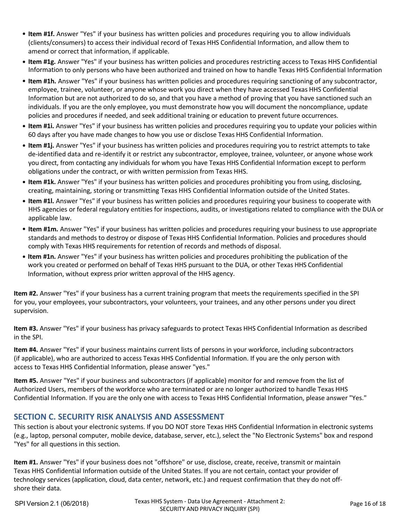- **• Item #1f.** Answer "Yes" if your business has written policies and procedures requiring you to allow individuals (clients/consumers) to access their individual record of Texas HHS Confidential Information, and allow them to amend or correct that information, if applicable.
- **• Item #1g.** Answer "Yes" if your business has written policies and procedures restricting access to Texas HHS Confidential Information to only persons who have been authorized and trained on how to handle Texas HHS Confidential Information
- **• Item #1h.** Answer "Yes" if your business has written policies and procedures requiring sanctioning of any subcontractor, employee, trainee, volunteer, or anyone whose work you direct when they have accessed Texas HHS Confidential Information but are not authorized to do so, and that you have a method of proving that you have sanctioned such an individuals. If you are the only employee, you must demonstrate how you will document the noncompliance, update policies and procedures if needed, and seek additional training or education to prevent future occurrences.
- **• Item #1i.** Answer "Yes" if your business has written policies and procedures requiring you to update your policies within 60 days after you have made changes to how you use or disclose Texas HHS Confidential Information.
- **• Item #1j.** Answer "Yes" if your business has written policies and procedures requiring you to restrict attempts to take de‐identified data and re‐identify it or restrict any subcontractor, employee, trainee, volunteer, or anyone whose work you direct, from contacting any individuals for whom you have Texas HHS Confidential Information except to perform obligations under the contract, or with written permission from Texas HHS.
- **• Item #1k.** Answer "Yes" if your business has written policies and procedures prohibiting you from using, disclosing, creating, maintaining, storing or transmitting Texas HHS Confidential Information outside of the United States.
- **• Item #1l.** Answer "Yes" if your business has written policies and procedures requiring your business to cooperate with HHS agencies or federal regulatory entities for inspections, audits, or investigations related to compliance with the DUA or applicable law.
- **• Item #1m.** Answer "Yes" if your business has written policies and procedures requiring your business to use appropriate standards and methods to destroy or dispose of Texas HHS Confidential Information. Policies and procedures should comply with Texas HHS requirements for retention of records and methods of disposal.
- **• Item #1n.** Answer "Yes" if your business has written policies and procedures prohibiting the publication of the work you created or performed on behalf of Texas HHS pursuant to the DUA, or other Texas HHS Confidential Information, without express prior written approval of the HHS agency.

 **Item #2.** Answer "Yes" if your business has a current training program that meets the requirements specified in the SPI for you, your employees, your subcontractors, your volunteers, your trainees, and any other persons under you direct supervision.

 **Item #3.** Answer "Yes" if your business has privacy safeguards to protect Texas HHS Confidential Information as described in the SPI.

 **Item #4.** Answer "Yes" if your business maintains current lists of persons in your workforce, including subcontractors (if applicable), who are authorized to access Texas HHS Confidential Information. If you are the only person with access to Texas HHS Confidential Information, please answer "yes."

 **Item #5.** Answer "Yes" if your business and subcontractors (if applicable) monitor for and remove from the list of Authorized Users, members of the workforce who are terminated or are no longer authorized to handle Texas HHS Confidential Information. If you are the only one with access to Texas HHS Confidential Information, please answer "Yes."

## **SECTION C. SECURITY RISK ANALYSIS AND ASSESSMENT**

 This section is about your electronic systems. If you DO NOT store Texas HHS Confidential Information in electronic systems (e.g., laptop, personal computer, mobile device, database, server, etc.), select the "No Electronic Systems" box and respond "Yes" for all questions in this section.

 **Item #1.** Answer "Yes" if your business does not "offshore" or use, disclose, create, receive, transmit or maintain Texas HHS Confidential Information outside of the United States. If you are not certain, contact your provider of technology services (application, cloud, data center, network, etc.) and request confirmation that they do not off‐ shore their data.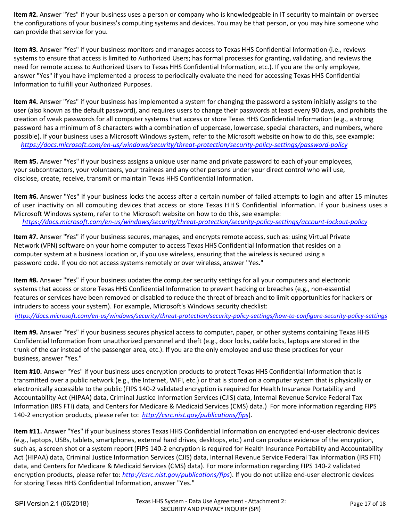**Item #2.** Answer "Yes" if your business uses a person or company who is knowledgeable in IT security to maintain or oversee the configurations of your business's computing systems and devices. You may be that person, or you may hire someone who can provide that service for you.

 **Item #3.** Answer "Yes" if your business monitors and manages access to Texas HHS Confidential Information (i.e., reviews systems to ensure that access is limited to Authorized Users; has formal processes for granting, validating, and reviews the need for remote access to Authorized Users to Texas HHS Confidential Information, etc.). If you are the only employee, answer "Yes" if you have implemented a process to periodically evaluate the need for accessing Texas HHS Confidential Information to fulfill your Authorized Purposes.

 **Item #4.** Answer "Yes" if your business has implemented a system for changing the password a system initially assigns to the user (also known as the default password), and requires users to change their passwords at least every 90 days, and prohibits the creation of weak passwords for all computer systems that access or store Texas HHS Confidential Information (e.g., a strong password has a minimum of 8 characters with a combination of uppercase, lowercase, special characters, and numbers, where possible). If your business uses a Microsoft Windows system, refer to the Microsoft website on how to do this, see example: *https://docs.microsoft.com/en-us/windows/security/threat-protection/security-policy-settings/password-policy*

 **Item #5.** Answer "Yes" if your business assigns a unique user name and private password to each of your employees, your subcontractors, your volunteers, your trainees and any other persons under your direct control who will use, disclose, create, receive, transmit or maintain Texas HHS Confidential Information.

 **Item #6.** Answer "Yes" if your business locks the access after a certain number of failed attempts to login and after 15 minutes of user inactivity on all computing devices that access or store Texas HHS Confidential Information. If your business uses a Microsoft Windows system, refer to the Microsoft website on how to do this, see example: *https://docs.microsoft.com/en-us/windows/security/threat-protection/security-policy-settings/account-lockout-policy*

 Network (VPN) software on your home computer to access Texas HHS Confidential Information that resides on a computer system at a business location or, if you use wireless, ensuring that the wireless is secured using a of the state of the complete the state of the state of the state of the state of the state of the state of the<br>And code. If you do not access systems remotely or over wireless, answer "Ves." password code. If you do not access systems remotely or over wireless, answer "Yes." **Item #7.** Answer "Yes" if your business secures, manages, and encrypts remote access, such as: using Virtual Private

 systems that access or store Texas HHS Confidential Information to prevent hacking or breaches (e.g., non‐essential features or services have been removed or disabled to reduce the threat of breach and to limit opportunities for hackers or intruders to access your system). For example, Microsoft's Windows security checklist: *https://docs.microsoft.com/en-us/windows/security/threat-protection/security-policy-settings/how-to-configure-security-policy-settings* **Item #8.** Answer "Yes" if your business updates the computer security settings for all your computers and electronic

Confidential Information from unauthorized personnel and theft (e.g., door locks, cable locks, laptops are stored in the trunk of the car instead of the passenger area, etc.). If you are the only employee and use these practices for your business, answer "Yes." **Item #9.** Answer "Yes" if your business secures physical access to computer, paper, or other systems containing Texas HHS

 **Item #10.** Answer "Yes" if your business uses encryption products to protect Texas HHS Confidential Information that is rransmitted over a pashe network (e.g.), the internet, while encryption is required on a computer system that is physically or<br>electronically accessible to the public (FIPS 140-2 validated encryption is required for Health Accountability Act (HIPAA) data, Criminal Justice Information Services (CJIS) data, Internal Revenue Service Federal Tax only net (impropriate, communisties mormation services (chs) data, internatinevenue service reacturius.<br>Sp. (IDC ETI) data, and Contors for Modicare & Modicaid Corvices (CMC) data ). For more information regarding EID Information (IRS FTI) data, and Centers for Medicare & Medicaid Services (CMS) data.) For more information regarding FIPS<br>140.2 onstuntion products, please refer to: http://ssrs.pist.gov/publications/fins) 140‐2 encryption products, please refer to: *http://csrc.nist.gov/publications/fips*). transmitted over a public network (e.g., the Internet, WIFI, etc.) or that is stored on a computer system that is physically or

 **Item #11.** Answer "Yes" if your business stores Texas HHS Confidential Information on encrypted end‐user electronic devices  (e.g., laptops, USBs, tablets, smartphones, external hard drives, desktops, etc.) and can produce evidence of the encryption, such as, a screen shot or a system report (FIPS 140-2 encryption is required for Health Insurance Portability and Accountability<br>And (UPSA) data Circuity bill alterate Caucation County CUC) data the pool Reports Curricular Act (HIPAA) data, Criminal Justice Information Services (CJIS) data, Internal Revenue Service Federal Tax Information (IRS FTI) data, and Centers for Medicare & Medicaid Services (CMS) data). For more information regarding FIPS 140‐2 validated encryption products, please refer to: *http://csrc.nist.gov/publications/fips*). If you do not utilize end‐user electronic devices for storing Texas HHS Confidential Information, answer "Yes."